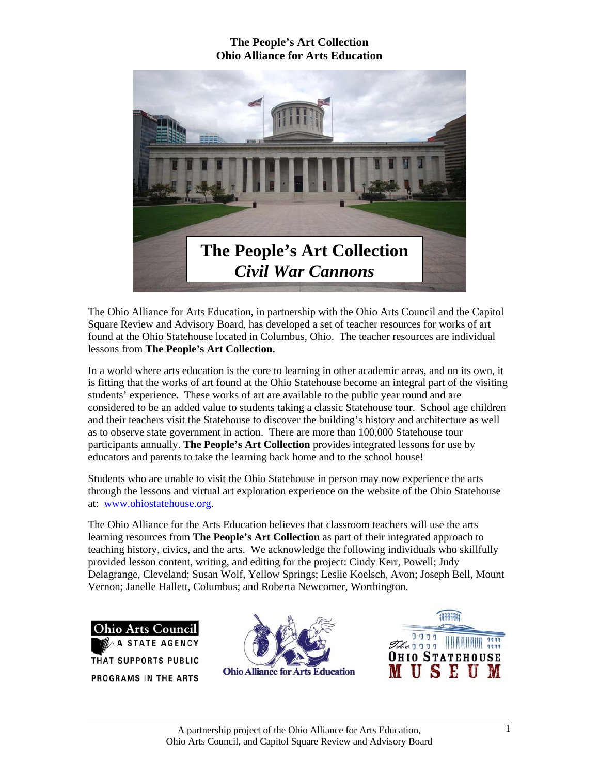

The Ohio Alliance for Arts Education, in partnership with the Ohio Arts Council and the Capitol Square Review and Advisory Board, has developed a set of teacher resources for works of art found at the Ohio Statehouse located in Columbus, Ohio. The teacher resources are individual lessons from **The People's Art Collection.** 

In a world where arts education is the core to learning in other academic areas, and on its own, it is fitting that the works of art found at the Ohio Statehouse become an integral part of the visiting students' experience. These works of art are available to the public year round and are considered to be an added value to students taking a classic Statehouse tour. School age children and their teachers visit the Statehouse to discover the building's history and architecture as well as to observe state government in action. There are more than 100,000 Statehouse tour participants annually. **The People's Art Collection** provides integrated lessons for use by educators and parents to take the learning back home and to the school house!

Students who are unable to visit the Ohio Statehouse in person may now experience the arts through the lessons and virtual art exploration experience on the website of the Ohio Statehouse at: www.ohiostatehouse.org.

The Ohio Alliance for the Arts Education believes that classroom teachers will use the arts learning resources from **The People's Art Collection** as part of their integrated approach to teaching history, civics, and the arts. We acknowledge the following individuals who skillfully provided lesson content, writing, and editing for the project: Cindy Kerr, Powell; Judy Delagrange, Cleveland; Susan Wolf, Yellow Springs; Leslie Koelsch, Avon; Joseph Bell, Mount Vernon; Janelle Hallett, Columbus; and Roberta Newcomer, Worthington.





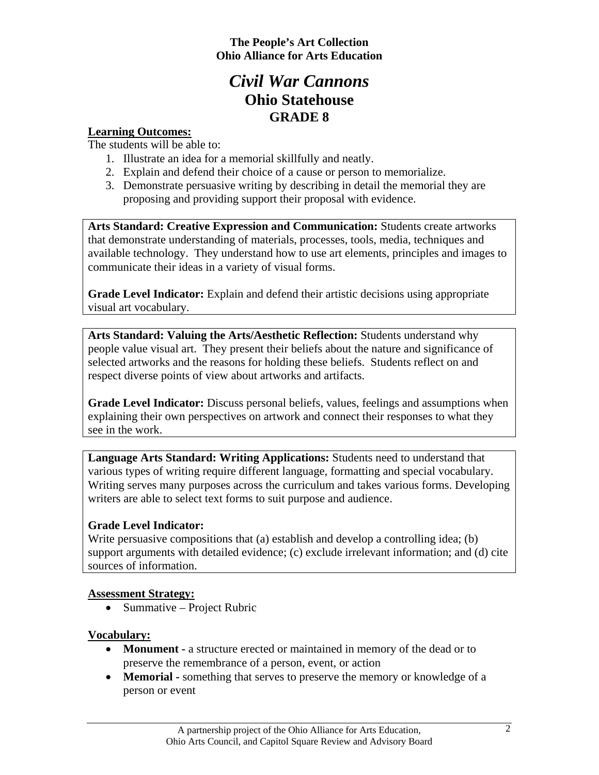# *Civil War Cannons*  **Ohio Statehouse GRADE 8**

### **Learning Outcomes:**

The students will be able to:

- 1. Illustrate an idea for a memorial skillfully and neatly.
- 2. Explain and defend their choice of a cause or person to memorialize.
- 3. Demonstrate persuasive writing by describing in detail the memorial they are proposing and providing support their proposal with evidence.

**Arts Standard: Creative Expression and Communication:** Students create artworks that demonstrate understanding of materials, processes, tools, media, techniques and available technology. They understand how to use art elements, principles and images to communicate their ideas in a variety of visual forms.

**Grade Level Indicator:** Explain and defend their artistic decisions using appropriate visual art vocabulary.

**Arts Standard: Valuing the Arts/Aesthetic Reflection:** Students understand why people value visual art. They present their beliefs about the nature and significance of selected artworks and the reasons for holding these beliefs. Students reflect on and respect diverse points of view about artworks and artifacts.

**Grade Level Indicator:** Discuss personal beliefs, values, feelings and assumptions when explaining their own perspectives on artwork and connect their responses to what they see in the work.

**Language Arts Standard: Writing Applications:** Students need to understand that various types of writing require different language, formatting and special vocabulary. Writing serves many purposes across the curriculum and takes various forms. Developing writers are able to select text forms to suit purpose and audience.

# **Grade Level Indicator:**

Write persuasive compositions that (a) establish and develop a controlling idea; (b) support arguments with detailed evidence; (c) exclude irrelevant information; and (d) cite sources of information.

#### **Assessment Strategy:**

• Summative – Project Rubric

# **Vocabulary:**

- **Monument** a structure erected or maintained in memory of the dead or to preserve the remembrance of a person, event, or action
- **Memorial** something that serves to preserve the memory or knowledge of a person or event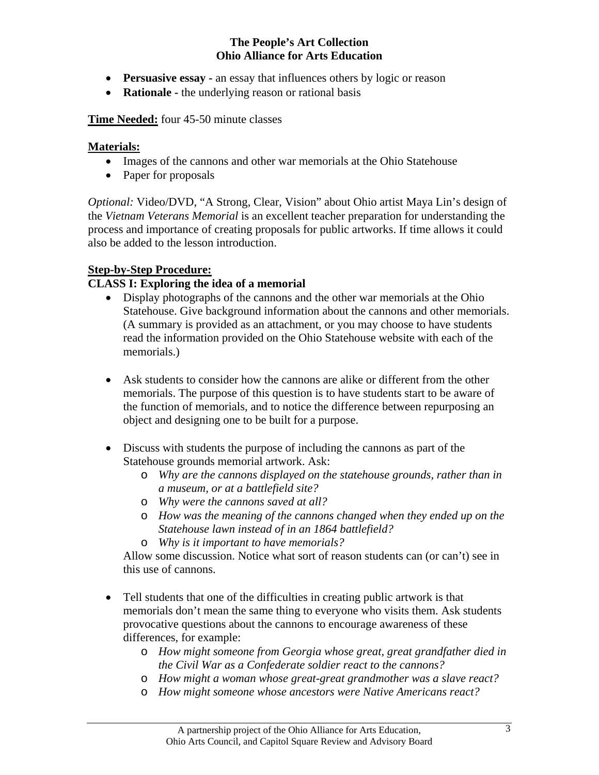- **Persuasive essay -** an essay that influences others by logic or reason
- **Rationale -** the underlying reason or rational basis

#### **Time Needed:** four 45-50 minute classes

#### **Materials:**

- Images of the cannons and other war memorials at the Ohio Statehouse
- Paper for proposals

*Optional:* Video/DVD, "A Strong, Clear, Vision" about Ohio artist Maya Lin's design of the *Vietnam Veterans Memorial* is an excellent teacher preparation for understanding the process and importance of creating proposals for public artworks. If time allows it could also be added to the lesson introduction.

#### **Step-by-Step Procedure:**

#### **CLASS I: Exploring the idea of a memorial**

- Display photographs of the cannons and the other war memorials at the Ohio Statehouse. Give background information about the cannons and other memorials. (A summary is provided as an attachment, or you may choose to have students read the information provided on the Ohio Statehouse website with each of the memorials.)
- Ask students to consider how the cannons are alike or different from the other memorials. The purpose of this question is to have students start to be aware of the function of memorials, and to notice the difference between repurposing an object and designing one to be built for a purpose.
- Discuss with students the purpose of including the cannons as part of the Statehouse grounds memorial artwork. Ask:
	- o *Why are the cannons displayed on the statehouse grounds, rather than in a museum, or at a battlefield site?*
	- o *Why were the cannons saved at all?*
	- o *How was the meaning of the cannons changed when they ended up on the Statehouse lawn instead of in an 1864 battlefield?*
	- o *Why is it important to have memorials?*

 Allow some discussion. Notice what sort of reason students can (or can't) see in this use of cannons.

- Tell students that one of the difficulties in creating public artwork is that memorials don't mean the same thing to everyone who visits them. Ask students provocative questions about the cannons to encourage awareness of these differences, for example:
	- o *How might someone from Georgia whose great, great grandfather died in the Civil War as a Confederate soldier react to the cannons?*
	- o *How might a woman whose great-great grandmother was a slave react?*
	- o *How might someone whose ancestors were Native Americans react?*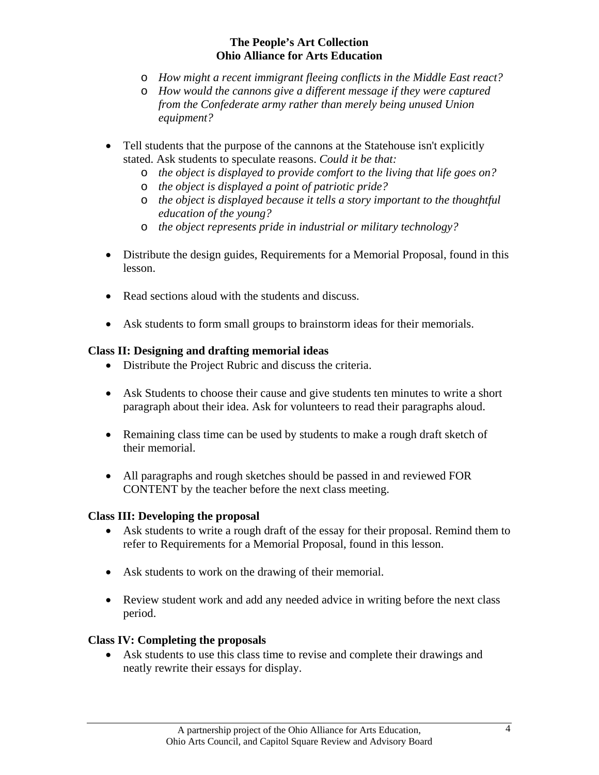- o *How might a recent immigrant fleeing conflicts in the Middle East react?*
- o *How would the cannons give a different message if they were captured from the Confederate army rather than merely being unused Union equipment?*
- Tell students that the purpose of the cannons at the Statehouse isn't explicitly stated. Ask students to speculate reasons. *Could it be that:* 
	- o *the object is displayed to provide comfort to the living that life goes on?*
	- o *the object is displayed a point of patriotic pride?*
	- o *the object is displayed because it tells a story important to the thoughtful education of the young?*
	- o *the object represents pride in industrial or military technology?*
- Distribute the design guides, Requirements for a Memorial Proposal, found in this lesson.
- Read sections aloud with the students and discuss.
- Ask students to form small groups to brainstorm ideas for their memorials.

#### **Class II: Designing and drafting memorial ideas**

- Distribute the Project Rubric and discuss the criteria.
- Ask Students to choose their cause and give students ten minutes to write a short paragraph about their idea. Ask for volunteers to read their paragraphs aloud.
- Remaining class time can be used by students to make a rough draft sketch of their memorial.
- All paragraphs and rough sketches should be passed in and reviewed FOR CONTENT by the teacher before the next class meeting.

#### **Class III: Developing the proposal**

- Ask students to write a rough draft of the essay for their proposal. Remind them to refer to Requirements for a Memorial Proposal, found in this lesson.
- Ask students to work on the drawing of their memorial.
- Review student work and add any needed advice in writing before the next class period.

#### **Class IV: Completing the proposals**

• Ask students to use this class time to revise and complete their drawings and neatly rewrite their essays for display.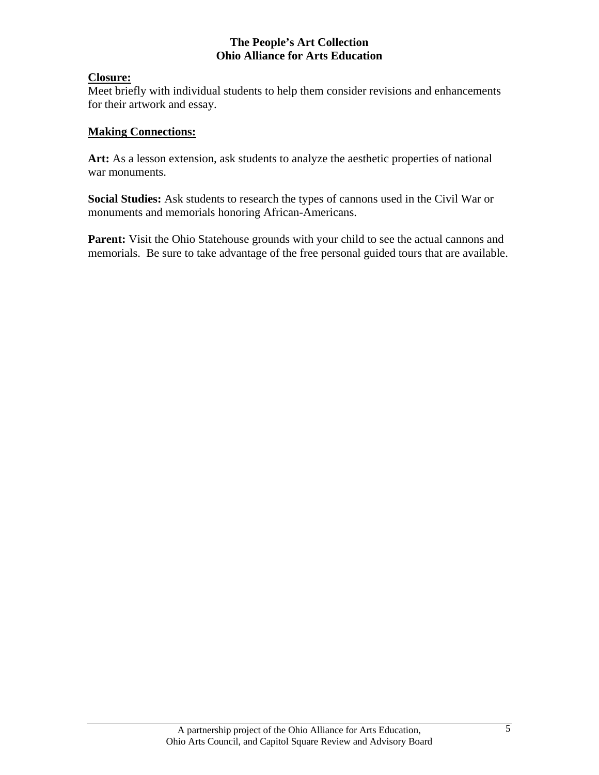#### **Closure:**

Meet briefly with individual students to help them consider revisions and enhancements for their artwork and essay.

#### **Making Connections:**

Art: As a lesson extension, ask students to analyze the aesthetic properties of national war monuments.

**Social Studies:** Ask students to research the types of cannons used in the Civil War or monuments and memorials honoring African-Americans.

Parent: Visit the Ohio Statehouse grounds with your child to see the actual cannons and memorials. Be sure to take advantage of the free personal guided tours that are available.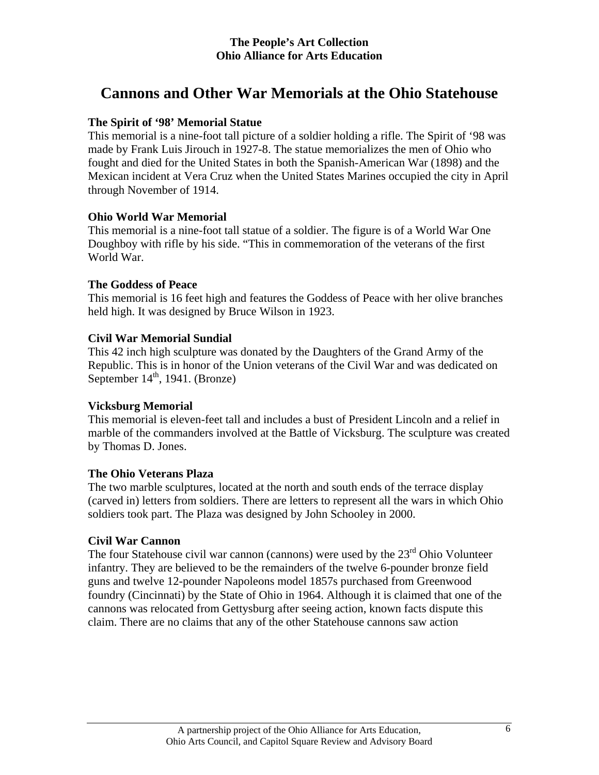# **Cannons and Other War Memorials at the Ohio Statehouse**

### **The Spirit of '98' Memorial Statue**

This memorial is a nine-foot tall picture of a soldier holding a rifle. The Spirit of '98 was made by Frank Luis Jirouch in 1927-8. The statue memorializes the men of Ohio who fought and died for the United States in both the Spanish-American War (1898) and the Mexican incident at Vera Cruz when the United States Marines occupied the city in April through November of 1914.

#### **Ohio World War Memorial**

This memorial is a nine-foot tall statue of a soldier. The figure is of a World War One Doughboy with rifle by his side. "This in commemoration of the veterans of the first World War.

### **The Goddess of Peace**

This memorial is 16 feet high and features the Goddess of Peace with her olive branches held high. It was designed by Bruce Wilson in 1923.

### **Civil War Memorial Sundial**

This 42 inch high sculpture was donated by the Daughters of the Grand Army of the Republic. This is in honor of the Union veterans of the Civil War and was dedicated on September  $14<sup>th</sup>$ , 1941. (Bronze)

#### **Vicksburg Memorial**

This memorial is eleven-feet tall and includes a bust of President Lincoln and a relief in marble of the commanders involved at the Battle of Vicksburg. The sculpture was created by Thomas D. Jones.

#### **The Ohio Veterans Plaza**

The two marble sculptures, located at the north and south ends of the terrace display (carved in) letters from soldiers. There are letters to represent all the wars in which Ohio soldiers took part. The Plaza was designed by John Schooley in 2000.

# **Civil War Cannon**

The four Statehouse civil war cannon (cannons) were used by the  $23<sup>rd</sup>$  Ohio Volunteer infantry. They are believed to be the remainders of the twelve 6-pounder bronze field guns and twelve 12-pounder Napoleons model 1857s purchased from Greenwood foundry (Cincinnati) by the State of Ohio in 1964. Although it is claimed that one of the cannons was relocated from Gettysburg after seeing action, known facts dispute this claim. There are no claims that any of the other Statehouse cannons saw action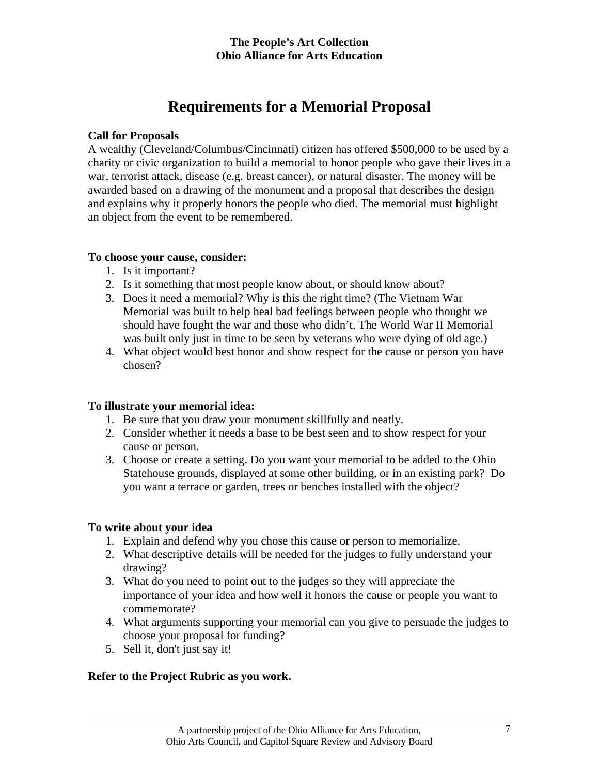# **Requirements for a Memorial Proposal**

#### **Call for Proposals**

A wealthy (Cleveland/Columbus/Cincinnati) citizen has offered \$500,000 to be used by a charity or civic organization to build a memorial to honor people who gave their lives in a war, terrorist attack, disease (e.g. breast cancer), or natural disaster. The money will be awarded based on a drawing of the monument and a proposal that describes the design and explains why it properly honors the people who died. The memorial must highlight an object from the event to be remembered.

#### **To choose your cause, consider:**

- 1. Is it important?
- 2. Is it something that most people know about, or should know about?
- 3. Does it need a memorial? Why is this the right time? (The Vietnam War Memorial was built to help heal bad feelings between people who thought we should have fought the war and those who didn't. The World War II Memorial was built only just in time to be seen by veterans who were dying of old age.)
- 4. What object would best honor and show respect for the cause or person you have chosen?

# **To illustrate your memorial idea:**

- 1. Be sure that you draw your monument skillfully and neatly.
- 2. Consider whether it needs a base to be best seen and to show respect for your cause or person.
- 3. Choose or create a setting. Do you want your memorial to be added to the Ohio Statehouse grounds, displayed at some other building, or in an existing park? Do you want a terrace or garden, trees or benches installed with the object?

# **To write about your idea**

- 1. Explain and defend why you chose this cause or person to memorialize.
- 2. What descriptive details will be needed for the judges to fully understand your drawing?
- 3. What do you need to point out to the judges so they will appreciate the importance of your idea and how well it honors the cause or people you want to commemorate?
- 4. What arguments supporting your memorial can you give to persuade the judges to choose your proposal for funding?
- 5. Sell it, don't just say it!

# **Refer to the Project Rubric as you work.**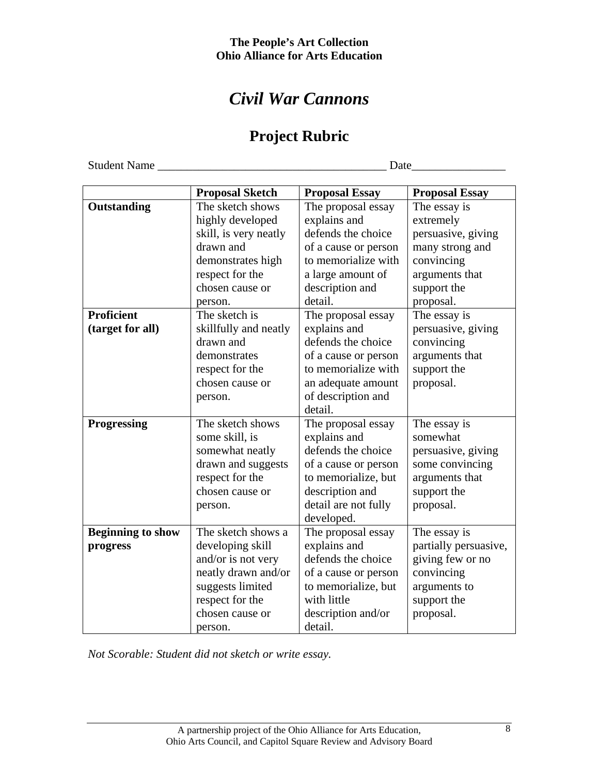# *Civil War Cannons*

# **Project Rubric**

Student Name \_\_\_\_\_\_\_\_\_\_\_\_\_\_\_\_\_\_\_\_\_\_\_\_\_\_\_\_\_\_\_\_\_\_\_\_\_\_\_ Date\_\_\_\_\_\_\_\_\_\_\_\_\_\_\_\_

|                          | <b>Proposal Sketch</b> | <b>Proposal Essay</b> | <b>Proposal Essay</b> |
|--------------------------|------------------------|-----------------------|-----------------------|
| Outstanding              | The sketch shows       | The proposal essay    | The essay is          |
|                          | highly developed       | explains and          | extremely             |
|                          | skill, is very neatly  | defends the choice    | persuasive, giving    |
|                          | drawn and              | of a cause or person  | many strong and       |
|                          | demonstrates high      | to memorialize with   | convincing            |
|                          | respect for the        | a large amount of     | arguments that        |
|                          | chosen cause or        | description and       | support the           |
|                          | person.                | detail.               | proposal.             |
| <b>Proficient</b>        | The sketch is          | The proposal essay    | The essay is          |
| (target for all)         | skillfully and neatly  | explains and          | persuasive, giving    |
|                          | drawn and              | defends the choice    | convincing            |
|                          | demonstrates           | of a cause or person  | arguments that        |
|                          | respect for the        | to memorialize with   | support the           |
|                          | chosen cause or        | an adequate amount    | proposal.             |
|                          | person.                | of description and    |                       |
|                          |                        | detail.               |                       |
| Progressing              | The sketch shows       | The proposal essay    | The essay is          |
|                          | some skill, is         | explains and          | somewhat              |
|                          | somewhat neatly        | defends the choice    | persuasive, giving    |
|                          | drawn and suggests     | of a cause or person  | some convincing       |
|                          | respect for the        | to memorialize, but   | arguments that        |
|                          | chosen cause or        | description and       | support the           |
|                          | person.                | detail are not fully  | proposal.             |
|                          |                        | developed.            |                       |
| <b>Beginning to show</b> | The sketch shows a     | The proposal essay    | The essay is          |
| progress                 | developing skill       | explains and          | partially persuasive, |
|                          | and/or is not very     | defends the choice    | giving few or no      |
|                          | neatly drawn and/or    | of a cause or person  | convincing            |
|                          | suggests limited       | to memorialize, but   | arguments to          |
|                          | respect for the        | with little           | support the           |
|                          | chosen cause or        | description and/or    | proposal.             |
|                          | person.                | detail.               |                       |

*Not Scorable: Student did not sketch or write essay.*